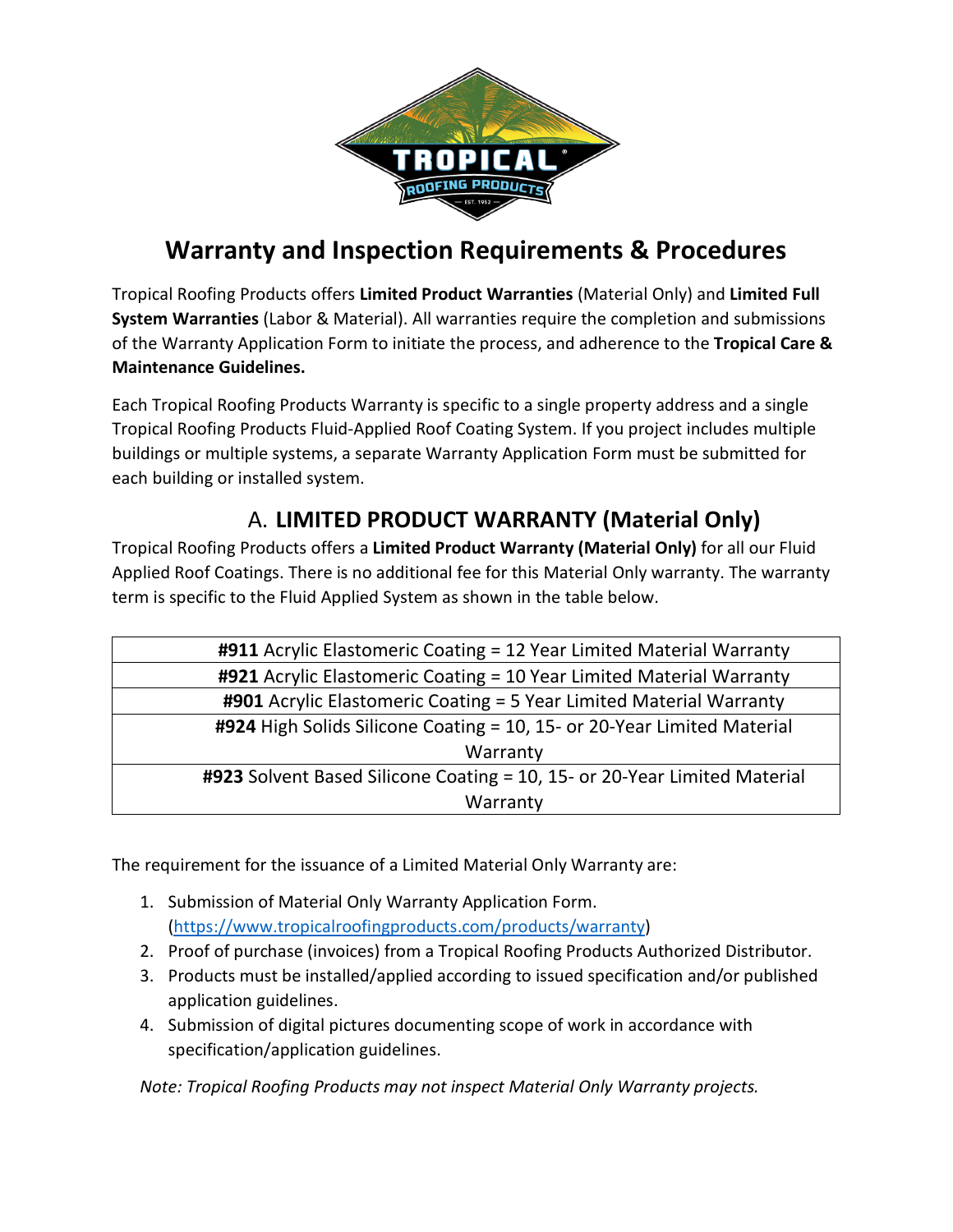

# **Warranty and Inspection Requirements & Procedures**

Tropical Roofing Products offers **Limited Product Warranties** (Material Only) and **Limited Full System Warranties** (Labor & Material). All warranties require the completion and submissions of the Warranty Application Form to initiate the process, and adherence to the **Tropical Care & Maintenance Guidelines.** 

Each Tropical Roofing Products Warranty is specific to a single property address and a single Tropical Roofing Products Fluid-Applied Roof Coating System. If you project includes multiple buildings or multiple systems, a separate Warranty Application Form must be submitted for each building or installed system.

# A. **LIMITED PRODUCT WARRANTY (Material Only)**

Tropical Roofing Products offers a **Limited Product Warranty (Material Only)** for all our Fluid Applied Roof Coatings. There is no additional fee for this Material Only warranty. The warranty term is specific to the Fluid Applied System as shown in the table below.

| #911 Acrylic Elastomeric Coating = 12 Year Limited Material Warranty      |  |  |  |
|---------------------------------------------------------------------------|--|--|--|
| #921 Acrylic Elastomeric Coating = 10 Year Limited Material Warranty      |  |  |  |
| #901 Acrylic Elastomeric Coating = 5 Year Limited Material Warranty       |  |  |  |
| #924 High Solids Silicone Coating = 10, 15- or 20-Year Limited Material   |  |  |  |
| Warranty                                                                  |  |  |  |
| #923 Solvent Based Silicone Coating = 10, 15- or 20-Year Limited Material |  |  |  |
| Warranty                                                                  |  |  |  |

The requirement for the issuance of a Limited Material Only Warranty are:

- 1. Submission of Material Only Warranty Application Form. [\(https://www.tropicalroofingproducts.com/products/warranty\)](https://www.tropicalroofingproducts.com/products/warranty)
- 2. Proof of purchase (invoices) from a Tropical Roofing Products Authorized Distributor.
- 3. Products must be installed/applied according to issued specification and/or published application guidelines.
- 4. Submission of digital pictures documenting scope of work in accordance with specification/application guidelines.

*Note: Tropical Roofing Products may not inspect Material Only Warranty projects.*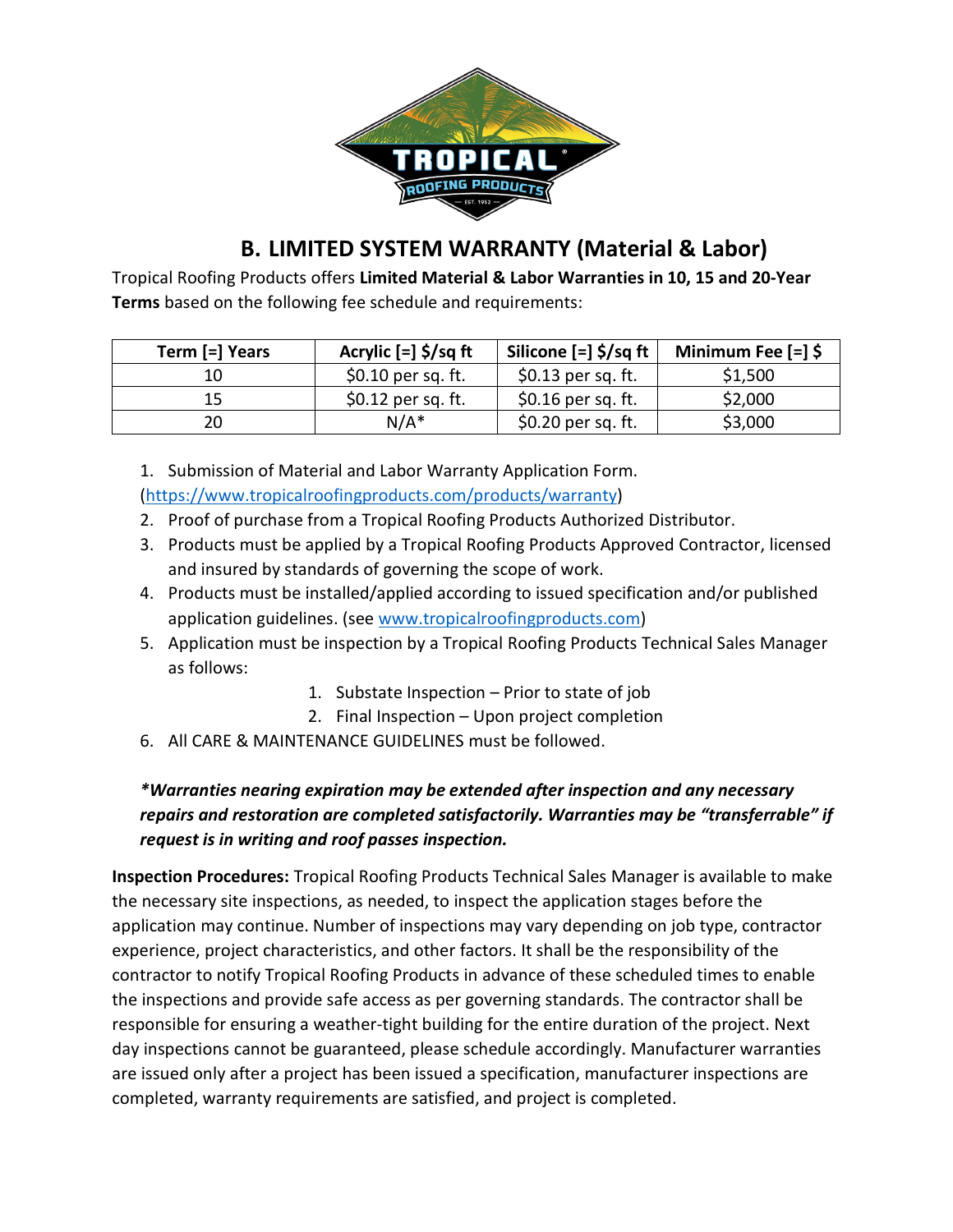

# **B. LIMITED SYSTEM WARRANTY (Material & Labor)**

Tropical Roofing Products offers **Limited Material & Labor Warranties in 10, 15 and 20-Year Terms** based on the following fee schedule and requirements:

| Term [=] Years | Acrylic $[-]$ \$/sq ft | Silicone [=] \$/sq ft | Minimum Fee $\lceil = \rceil$ \$ |
|----------------|------------------------|-----------------------|----------------------------------|
| 10             | $$0.10$ per sq. ft.    | $$0.13$ per sq. ft.   | \$1,500                          |
| 15             | $$0.12$ per sq. ft.    | $$0.16$ per sq. ft.   | \$2,000                          |
| 20             | $N/A^*$                | \$0.20 per sq. ft.    | \$3,000                          |

1. Submission of Material and Labor Warranty Application Form. [\(https://www.tropicalroofingproducts.com/products/warranty\)](https://powerforms.docusign.net/6fc3b15c-50bc-4d24-8c62-30d400abad0a?accountId=bb0e9adf-023d-46a7-b4a3-f9f7817a279b&env=na3)

- 2. Proof of purchase from a Tropical Roofing Products Authorized Distributor.
- 3. Products must be applied by a Tropical Roofing Products Approved Contractor, licensed and insured by standards of governing the scope of work.
- 4. Products must be installed/applied according to issued specification and/or published application guidelines. (see [www.tropicalroofingproducts.com\)](http://www.tropicalroofingproducts.com/)
- 5. Application must be inspection by a Tropical Roofing Products Technical Sales Manager as follows:
	- 1. Substate Inspection Prior to state of job
	- 2. Final Inspection Upon project completion
- 6. All CARE & MAINTENANCE GUIDELINES must be followed.

#### *\*Warranties nearing expiration may be extended after inspection and any necessary repairs and restoration are completed satisfactorily. Warranties may be "transferrable" if request is in writing and roof passes inspection.*

**Inspection Procedures:** Tropical Roofing Products Technical Sales Manager is available to make the necessary site inspections, as needed, to inspect the application stages before the application may continue. Number of inspections may vary depending on job type, contractor experience, project characteristics, and other factors. It shall be the responsibility of the contractor to notify Tropical Roofing Products in advance of these scheduled times to enable the inspections and provide safe access as per governing standards. The contractor shall be responsible for ensuring a weather-tight building for the entire duration of the project. Next day inspections cannot be guaranteed, please schedule accordingly. Manufacturer warranties are issued only after a project has been issued a specification, manufacturer inspections are completed, warranty requirements are satisfied, and project is completed.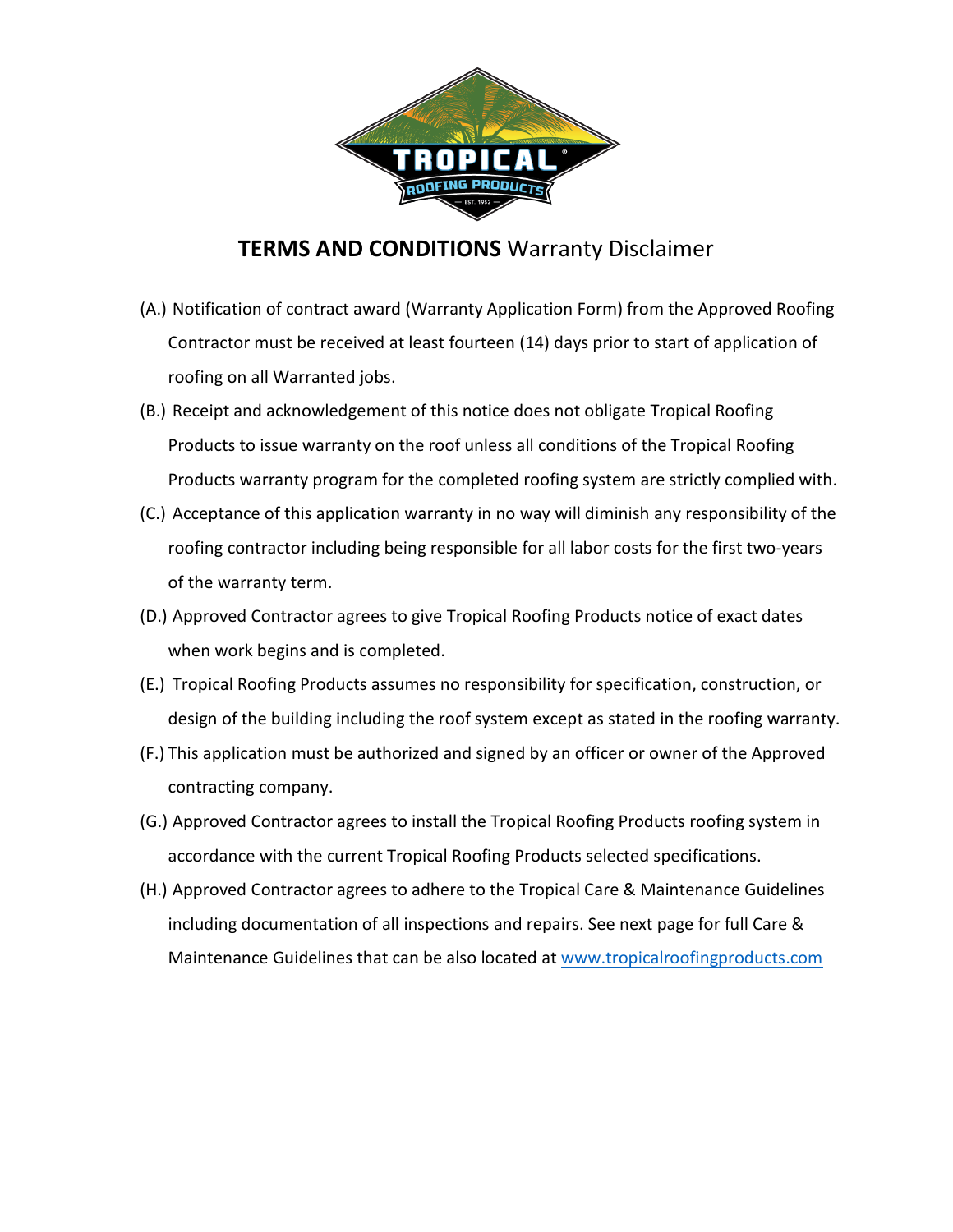

### **TERMS AND CONDITIONS** Warranty Disclaimer

- (A.) Notification of contract award (Warranty Application Form) from the Approved Roofing Contractor must be received at least fourteen (14) days prior to start of application of roofing on all Warranted jobs.
- (B.) Receipt and acknowledgement of this notice does not obligate Tropical Roofing Products to issue warranty on the roof unless all conditions of the Tropical Roofing Products warranty program for the completed roofing system are strictly complied with.
- (C.) Acceptance of this application warranty in no way will diminish any responsibility of the roofing contractor including being responsible for all labor costs for the first two-years of the warranty term.
- (D.) Approved Contractor agrees to give Tropical Roofing Products notice of exact dates when work begins and is completed.
- (E.) Tropical Roofing Products assumes no responsibility for specification, construction, or design of the building including the roof system except as stated in the roofing warranty.
- (F.) This application must be authorized and signed by an officer or owner of the Approved contracting company.
- (G.) Approved Contractor agrees to install the Tropical Roofing Products roofing system in accordance with the current Tropical Roofing Products selected specifications.
- (H.) Approved Contractor agrees to adhere to the Tropical Care & Maintenance Guidelines including documentation of all inspections and repairs. See next page for full Care & Maintenance Guidelines that can be also located at [www.tropicalroofingproducts.com](http://www.tropicalroofingproducts.com/)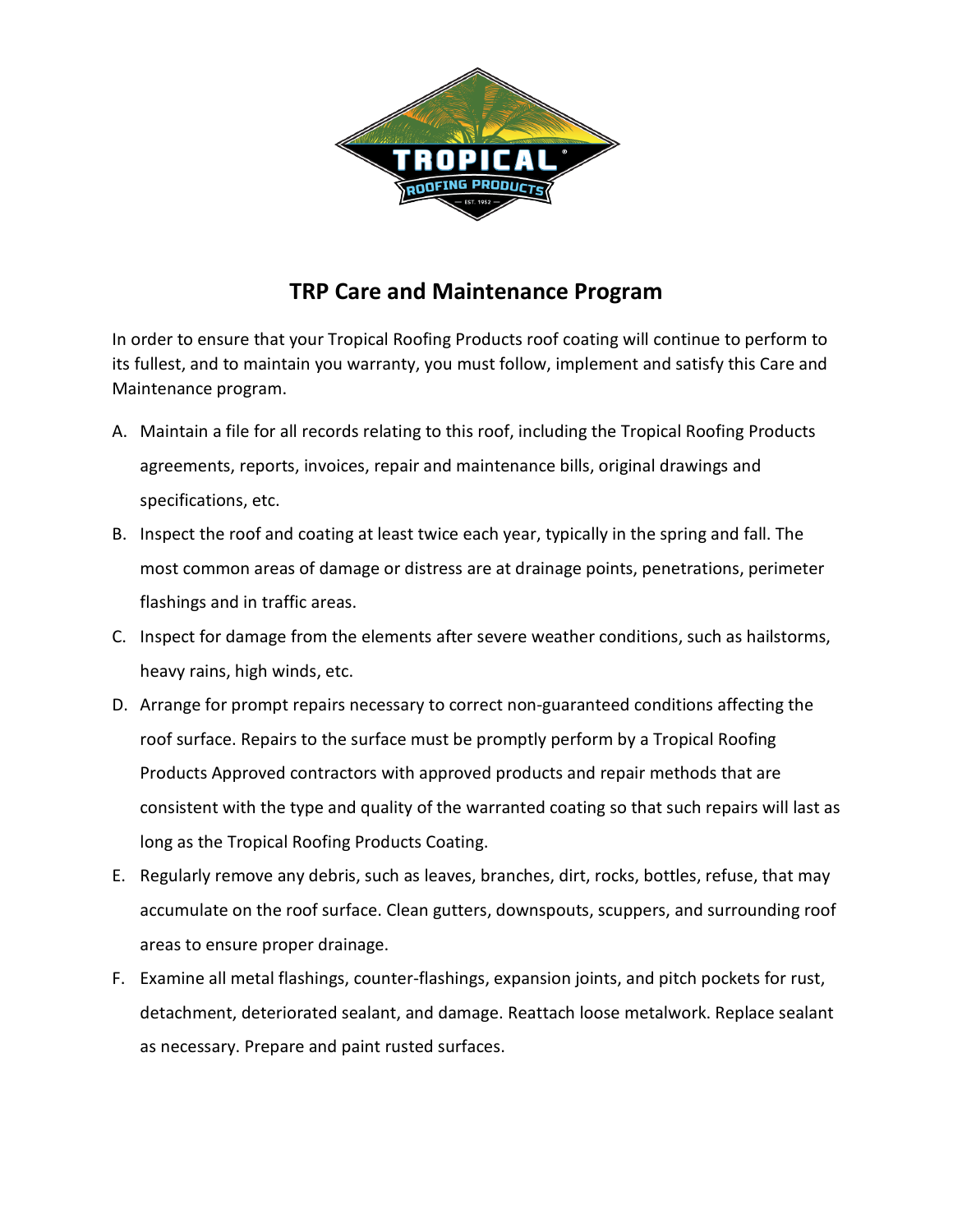

# **TRP Care and Maintenance Program**

In order to ensure that your Tropical Roofing Products roof coating will continue to perform to its fullest, and to maintain you warranty, you must follow, implement and satisfy this Care and Maintenance program.

- A. Maintain a file for all records relating to this roof, including the Tropical Roofing Products agreements, reports, invoices, repair and maintenance bills, original drawings and specifications, etc.
- B. Inspect the roof and coating at least twice each year, typically in the spring and fall. The most common areas of damage or distress are at drainage points, penetrations, perimeter flashings and in traffic areas.
- C. Inspect for damage from the elements after severe weather conditions, such as hailstorms, heavy rains, high winds, etc.
- D. Arrange for prompt repairs necessary to correct non-guaranteed conditions affecting the roof surface. Repairs to the surface must be promptly perform by a Tropical Roofing Products Approved contractors with approved products and repair methods that are consistent with the type and quality of the warranted coating so that such repairs will last as long as the Tropical Roofing Products Coating.
- E. Regularly remove any debris, such as leaves, branches, dirt, rocks, bottles, refuse, that may accumulate on the roof surface. Clean gutters, downspouts, scuppers, and surrounding roof areas to ensure proper drainage.
- F. Examine all metal flashings, counter-flashings, expansion joints, and pitch pockets for rust, detachment, deteriorated sealant, and damage. Reattach loose metalwork. Replace sealant as necessary. Prepare and paint rusted surfaces.